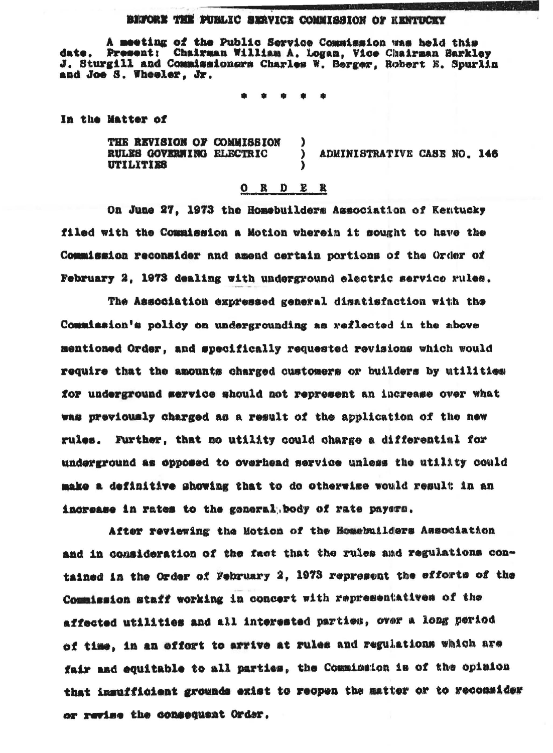## BIFORE THE PUBLIC SERVICE COMMISSION OF RENTICKY

A meeting of the Public Service Commission was held this date. Present: Chairman William A. Logan, Vice Chairman Barkley J. Sturgill and Commissioners Charles W. Berger, Robert E. Spurlin and Joe S. Wheeler. Jr.

In the Matter of

THE REVISION OF COMMISSION RULES GOVERNING ELECTRIC  $\lambda$ ADMINISTRATIVE CASE NO. 146 **UTILITIES** 

## $O$  R D E R

On June 27. 1973 the Homebuilders Association of Kentucky filed with the Commission a Motion wherein it sought to have the Commission reconsider and amend certain portions of the Order of February 2, 1973 dealing with underground electric service rules.

The Association expressed general disatisfaction with the Commission's policy on undergrounding as reflected in the above mentioned Order. and specifically requested revisions which would require that the amounts charged customers or builders by utilities for underground mervice should not represent an increase over what was previously charged as a result of the application of the new rules. Further, that no utility could charge a differential for underground as opposed to overhead service unless the utility could make a definitive showing that to do otherwise would result in an increase in rates to the general body of rate payers.

After reviewing the Motion of the Homebuilders Association and in consideration of the fact that the rules and regulations contained in the Order of February 2, 1973 represent the efforts of the Commission staff working in concert with representatives of the affected utilities and all interested parties, over a long period of time, in an effort to arrive at rules and regulations which are fair and equitable to all parties, the Commission is of the opinion that insufficient grounds exist to reopen the matter or to reconsider or revise the consequent Order.